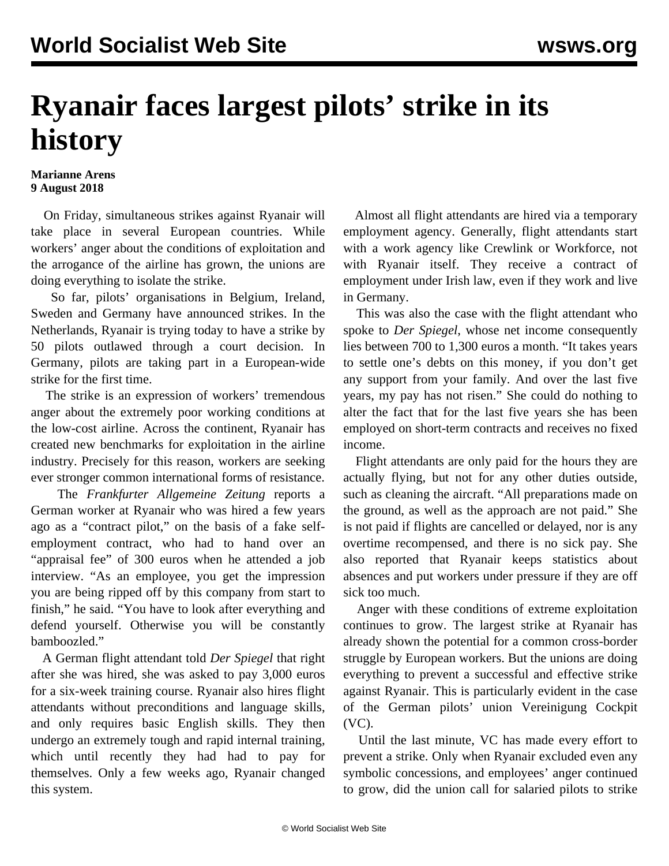## **Ryanair faces largest pilots' strike in its history**

## **Marianne Arens 9 August 2018**

 On Friday, simultaneous strikes against Ryanair will take place in several European countries. While workers' anger about the conditions of exploitation and the arrogance of the airline has grown, the unions are doing everything to isolate the strike.

 So far, pilots' organisations in Belgium, Ireland, Sweden and Germany have announced strikes. In the Netherlands, Ryanair is trying today to have a strike by 50 pilots outlawed through a court decision. In Germany, pilots are taking part in a European-wide strike for the first time.

 The strike is an expression of workers' tremendous anger about the extremely poor working conditions at the low-cost airline. Across the continent, Ryanair has created new benchmarks for exploitation in the airline industry. Precisely for this reason, workers are seeking ever stronger common international forms of resistance.

 The *Frankfurter Allgemeine Zeitung* reports a German worker at Ryanair who was hired a few years ago as a "contract pilot," on the basis of a fake selfemployment contract, who had to hand over an "appraisal fee" of 300 euros when he attended a job interview. "As an employee, you get the impression you are being ripped off by this company from start to finish," he said. "You have to look after everything and defend yourself. Otherwise you will be constantly bamboozled."

 A German flight attendant told *Der Spiegel* that right after she was hired, she was asked to pay 3,000 euros for a six-week training course. Ryanair also hires flight attendants without preconditions and language skills, and only requires basic English skills. They then undergo an extremely tough and rapid internal training, which until recently they had had to pay for themselves. Only a few weeks ago, Ryanair changed this system.

 Almost all flight attendants are hired via a temporary employment agency. Generally, flight attendants start with a work agency like Crewlink or Workforce, not with Ryanair itself. They receive a contract of employment under Irish law, even if they work and live in Germany.

 This was also the case with the flight attendant who spoke to *Der Spiegel*, whose net income consequently lies between 700 to 1,300 euros a month. "It takes years to settle one's debts on this money, if you don't get any support from your family. And over the last five years, my pay has not risen." She could do nothing to alter the fact that for the last five years she has been employed on short-term contracts and receives no fixed income.

 Flight attendants are only paid for the hours they are actually flying, but not for any other duties outside, such as cleaning the aircraft. "All preparations made on the ground, as well as the approach are not paid." She is not paid if flights are cancelled or delayed, nor is any overtime recompensed, and there is no sick pay. She also reported that Ryanair keeps statistics about absences and put workers under pressure if they are off sick too much.

 Anger with these conditions of extreme exploitation continues to grow. The largest strike at Ryanair has already shown the potential for a common cross-border struggle by European workers. But the unions are doing everything to prevent a successful and effective strike against Ryanair. This is particularly evident in the case of the German pilots' union Vereinigung Cockpit (VC).

 Until the last minute, VC has made every effort to prevent a strike. Only when Ryanair excluded even any symbolic concessions, and employees' anger continued to grow, did the union call for salaried pilots to strike